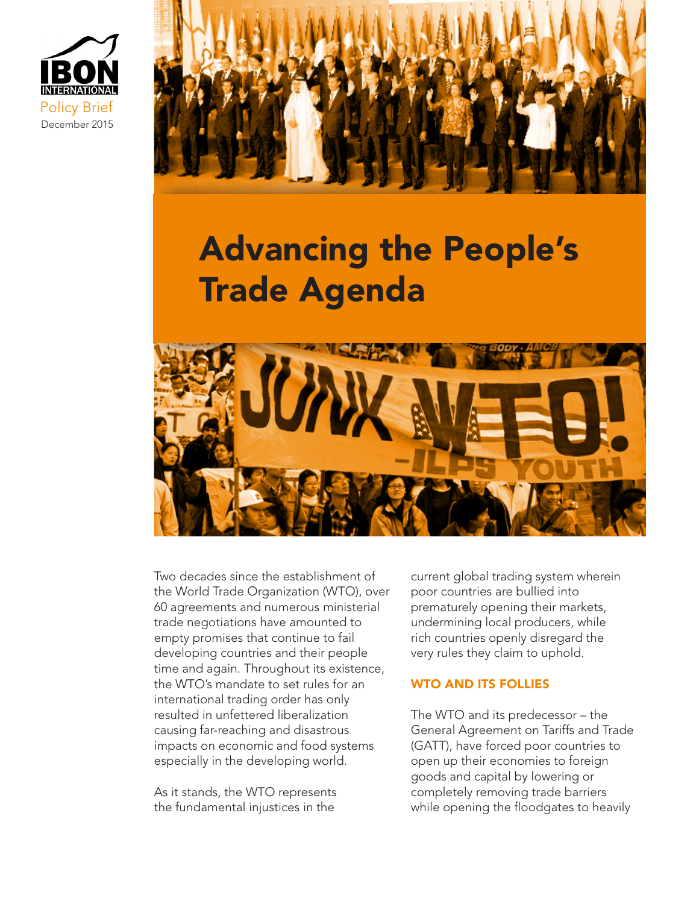



# Advancing the People's Trade Agenda



Two decades since the establishment of the World Trade Organization (WTO), over 60 agreements and numerous ministerial trade negotiations have amounted to empty promises that continue to fail developing countries and their people time and again. Throughout its existence, the WTO's mandate to set rules for an international trading order has only resulted in unfettered liberalization causing far-reaching and disastrous impacts on economic and food systems especially in the developing world.

As it stands, the WTO represents the fundamental injustices in the

current global trading system wherein poor countries are bullied into prematurely opening their markets, undermining local producers, while rich countries openly disregard the very rules they claim to uphold.

# WTO AND ITS FOLLIES

The WTO and its predecessor – the General Agreement on Tariffs and Trade (GATT), have forced poor countries to open up their economies to foreign goods and capital by lowering or completely removing trade barriers while opening the floodgates to heavily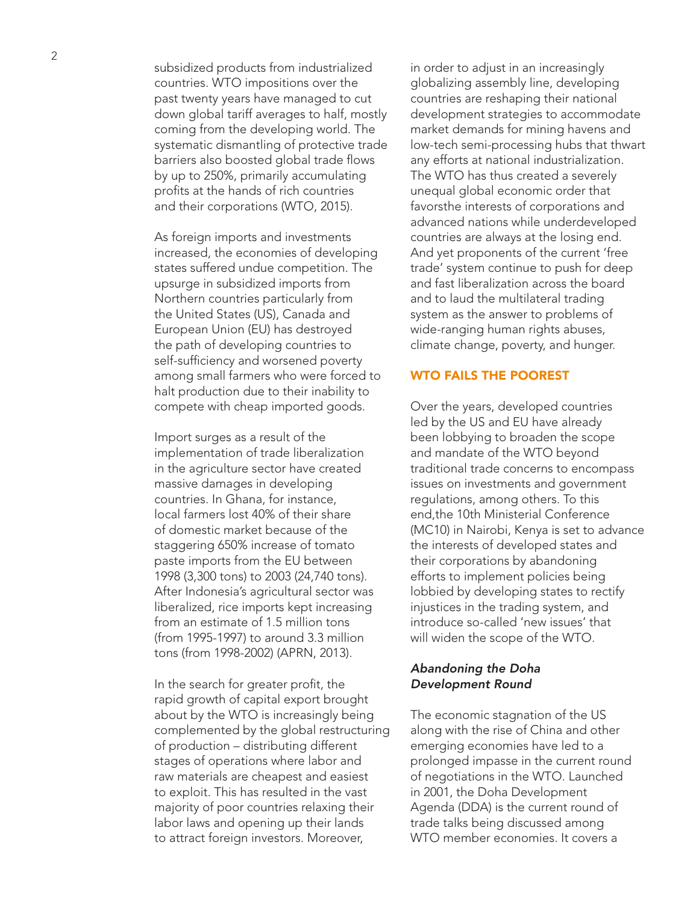subsidized products from industrialized countries. WTO impositions over the past twenty years have managed to cut down global tariff averages to half, mostly coming from the developing world. The systematic dismantling of protective trade barriers also boosted global trade flows by up to 250%, primarily accumulating profits at the hands of rich countries and their corporations (WTO, 2015).

As foreign imports and investments increased, the economies of developing states suffered undue competition. The upsurge in subsidized imports from Northern countries particularly from the United States (US), Canada and European Union (EU) has destroyed the path of developing countries to self-sufficiency and worsened poverty among small farmers who were forced to halt production due to their inability to compete with cheap imported goods.

Import surges as a result of the implementation of trade liberalization in the agriculture sector have created massive damages in developing countries. In Ghana, for instance, local farmers lost 40% of their share of domestic market because of the staggering 650% increase of tomato paste imports from the EU between 1998 (3,300 tons) to 2003 (24,740 tons). After Indonesia's agricultural sector was liberalized, rice imports kept increasing from an estimate of 1.5 million tons (from 1995-1997) to around 3.3 million tons (from 1998-2002) (APRN, 2013).

In the search for greater profit, the rapid growth of capital export brought about by the WTO is increasingly being complemented by the global restructuring of production – distributing different stages of operations where labor and raw materials are cheapest and easiest to exploit. This has resulted in the vast majority of poor countries relaxing their labor laws and opening up their lands to attract foreign investors. Moreover,

in order to adjust in an increasingly globalizing assembly line, developing countries are reshaping their national development strategies to accommodate market demands for mining havens and low-tech semi-processing hubs that thwart any efforts at national industrialization. The WTO has thus created a severely unequal global economic order that favorsthe interests of corporations and advanced nations while underdeveloped countries are always at the losing end. And yet proponents of the current 'free trade' system continue to push for deep and fast liberalization across the board and to laud the multilateral trading system as the answer to problems of wide-ranging human rights abuses, climate change, poverty, and hunger.

## WTO FAILS THE POOREST

Over the years, developed countries led by the US and EU have already been lobbying to broaden the scope and mandate of the WTO beyond traditional trade concerns to encompass issues on investments and government regulations, among others. To this end,the 10th Ministerial Conference (MC10) in Nairobi, Kenya is set to advance the interests of developed states and their corporations by abandoning efforts to implement policies being lobbied by developing states to rectify injustices in the trading system, and introduce so-called 'new issues' that will widen the scope of the WTO.

## *Abandoning the Doha Development Round*

The economic stagnation of the US along with the rise of China and other emerging economies have led to a prolonged impasse in the current round of negotiations in the WTO. Launched in 2001, the Doha Development Agenda (DDA) is the current round of trade talks being discussed among WTO member economies. It covers a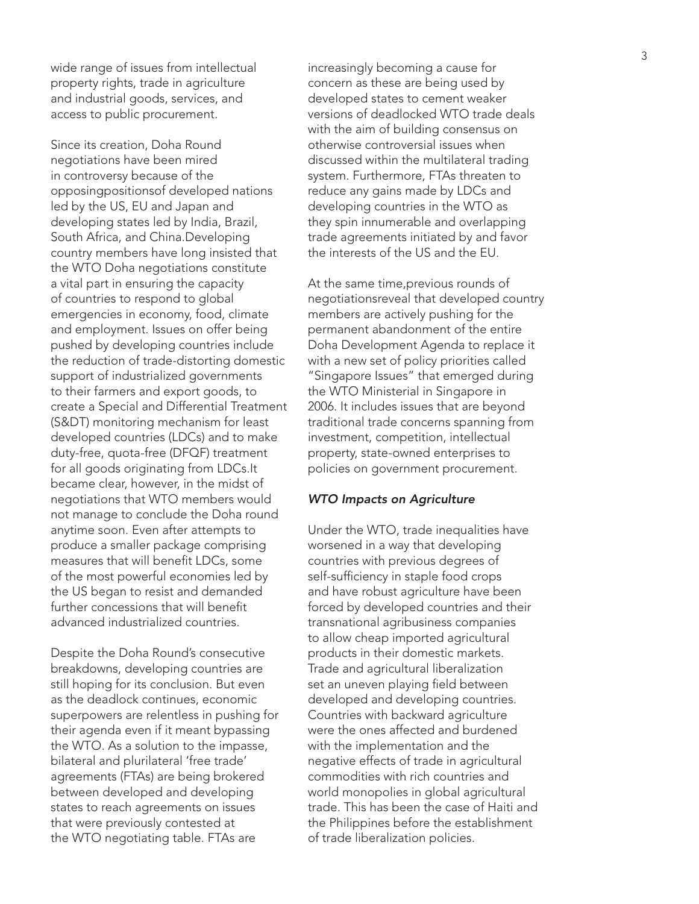wide range of issues from intellectual property rights, trade in agriculture and industrial goods, services, and access to public procurement.

Since its creation, Doha Round negotiations have been mired in controversy because of the opposingpositionsof developed nations led by the US, EU and Japan and developing states led by India, Brazil, South Africa, and China.Developing country members have long insisted that the WTO Doha negotiations constitute a vital part in ensuring the capacity of countries to respond to global emergencies in economy, food, climate and employment. Issues on offer being pushed by developing countries include the reduction of trade-distorting domestic support of industrialized governments to their farmers and export goods, to create a Special and Differential Treatment (S&DT) monitoring mechanism for least developed countries (LDCs) and to make duty-free, quota-free (DFQF) treatment for all goods originating from LDCs.It became clear, however, in the midst of negotiations that WTO members would not manage to conclude the Doha round anytime soon. Even after attempts to produce a smaller package comprising measures that will benefit LDCs, some of the most powerful economies led by the US began to resist and demanded further concessions that will benefit advanced industrialized countries.

Despite the Doha Round's consecutive breakdowns, developing countries are still hoping for its conclusion. But even as the deadlock continues, economic superpowers are relentless in pushing for their agenda even if it meant bypassing the WTO. As a solution to the impasse, bilateral and plurilateral 'free trade' agreements (FTAs) are being brokered between developed and developing states to reach agreements on issues that were previously contested at the WTO negotiating table. FTAs are

increasingly becoming a cause for concern as these are being used by developed states to cement weaker versions of deadlocked WTO trade deals with the aim of building consensus on otherwise controversial issues when discussed within the multilateral trading system. Furthermore, FTAs threaten to reduce any gains made by LDCs and developing countries in the WTO as they spin innumerable and overlapping trade agreements initiated by and favor the interests of the US and the EU.

At the same time,previous rounds of negotiationsreveal that developed country members are actively pushing for the permanent abandonment of the entire Doha Development Agenda to replace it with a new set of policy priorities called "Singapore Issues" that emerged during the WTO Ministerial in Singapore in 2006. It includes issues that are beyond traditional trade concerns spanning from investment, competition, intellectual property, state-owned enterprises to policies on government procurement.

#### *WTO Impacts on Agriculture*

Under the WTO, trade inequalities have worsened in a way that developing countries with previous degrees of self-sufficiency in staple food crops and have robust agriculture have been forced by developed countries and their transnational agribusiness companies to allow cheap imported agricultural products in their domestic markets. Trade and agricultural liberalization set an uneven playing field between developed and developing countries. Countries with backward agriculture were the ones affected and burdened with the implementation and the negative effects of trade in agricultural commodities with rich countries and world monopolies in global agricultural trade. This has been the case of Haiti and the Philippines before the establishment of trade liberalization policies.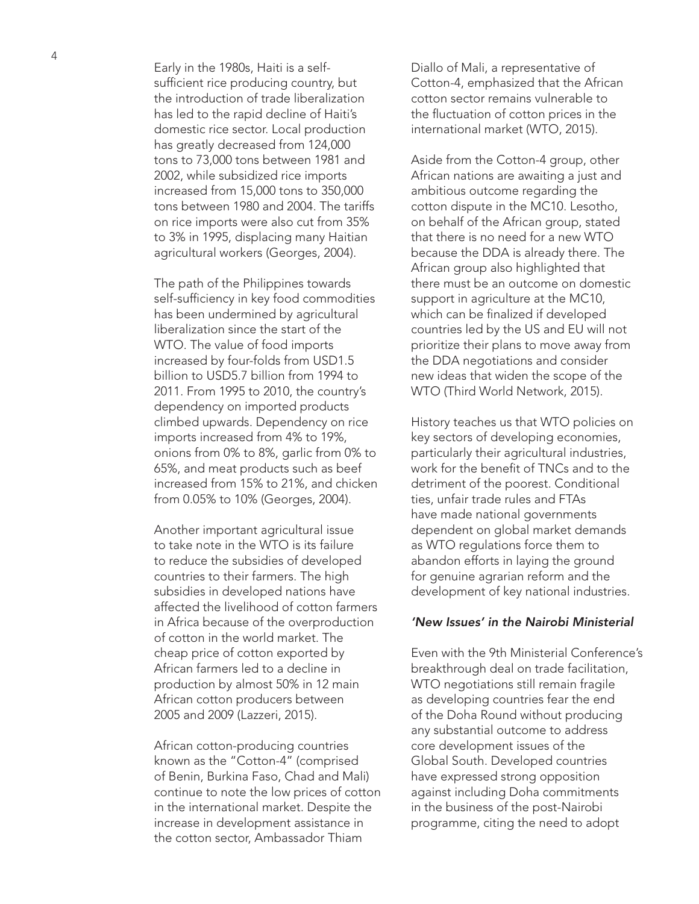Early in the 1980s, Haiti is a selfsufficient rice producing country, but the introduction of trade liberalization has led to the rapid decline of Haiti's domestic rice sector. Local production has greatly decreased from 124,000 tons to 73,000 tons between 1981 and 2002, while subsidized rice imports increased from 15,000 tons to 350,000 tons between 1980 and 2004. The tariffs on rice imports were also cut from 35% to 3% in 1995, displacing many Haitian agricultural workers (Georges, 2004).

The path of the Philippines towards self-sufficiency in key food commodities has been undermined by agricultural liberalization since the start of the WTO. The value of food imports increased by four-folds from USD1.5 billion to USD5.7 billion from 1994 to 2011. From 1995 to 2010, the country's dependency on imported products climbed upwards. Dependency on rice imports increased from 4% to 19%, onions from 0% to 8%, garlic from 0% to 65%, and meat products such as beef increased from 15% to 21%, and chicken from 0.05% to 10% (Georges, 2004).

Another important agricultural issue to take note in the WTO is its failure to reduce the subsidies of developed countries to their farmers. The high subsidies in developed nations have affected the livelihood of cotton farmers in Africa because of the overproduction of cotton in the world market. The cheap price of cotton exported by African farmers led to a decline in production by almost 50% in 12 main African cotton producers between 2005 and 2009 (Lazzeri, 2015).

African cotton-producing countries known as the "Cotton-4" (comprised of Benin, Burkina Faso, Chad and Mali) continue to note the low prices of cotton in the international market. Despite the increase in development assistance in the cotton sector, Ambassador Thiam

Diallo of Mali, a representative of Cotton-4, emphasized that the African cotton sector remains vulnerable to the fluctuation of cotton prices in the international market (WTO, 2015).

Aside from the Cotton-4 group, other African nations are awaiting a just and ambitious outcome regarding the cotton dispute in the MC10. Lesotho, on behalf of the African group, stated that there is no need for a new WTO because the DDA is already there. The African group also highlighted that there must be an outcome on domestic support in agriculture at the MC10, which can be finalized if developed countries led by the US and EU will not prioritize their plans to move away from the DDA negotiations and consider new ideas that widen the scope of the WTO (Third World Network, 2015).

History teaches us that WTO policies on key sectors of developing economies, particularly their agricultural industries, work for the benefit of TNCs and to the detriment of the poorest. Conditional ties, unfair trade rules and FTAs have made national governments dependent on global market demands as WTO regulations force them to abandon efforts in laying the ground for genuine agrarian reform and the development of key national industries.

## *'New Issues' in the Nairobi Ministerial*

Even with the 9th Ministerial Conference's breakthrough deal on trade facilitation, WTO negotiations still remain fragile as developing countries fear the end of the Doha Round without producing any substantial outcome to address core development issues of the Global South. Developed countries have expressed strong opposition against including Doha commitments in the business of the post-Nairobi programme, citing the need to adopt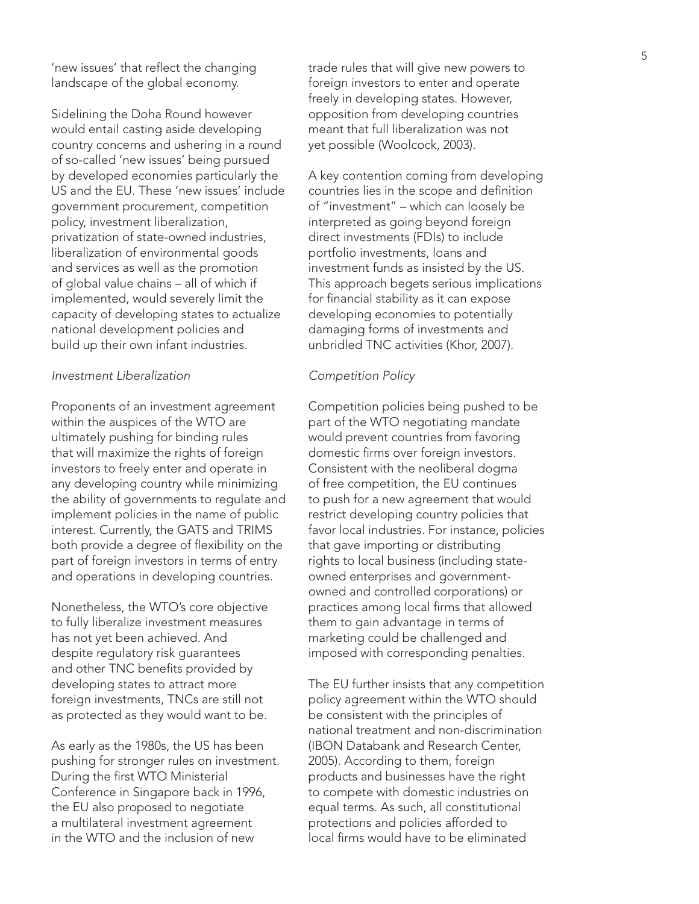'new issues' that reflect the changing landscape of the global economy.

Sidelining the Doha Round however would entail casting aside developing country concerns and ushering in a round of so-called 'new issues' being pursued by developed economies particularly the US and the EU. These 'new issues' include government procurement, competition policy, investment liberalization, privatization of state-owned industries, liberalization of environmental goods and services as well as the promotion of global value chains – all of which if implemented, would severely limit the capacity of developing states to actualize national development policies and build up their own infant industries.

## *Investment Liberalization*

Proponents of an investment agreement within the auspices of the WTO are ultimately pushing for binding rules that will maximize the rights of foreign investors to freely enter and operate in any developing country while minimizing the ability of governments to regulate and implement policies in the name of public interest. Currently, the GATS and TRIMS both provide a degree of flexibility on the part of foreign investors in terms of entry and operations in developing countries.

Nonetheless, the WTO's core objective to fully liberalize investment measures has not yet been achieved. And despite regulatory risk guarantees and other TNC benefits provided by developing states to attract more foreign investments, TNCs are still not as protected as they would want to be.

As early as the 1980s, the US has been pushing for stronger rules on investment. During the first WTO Ministerial Conference in Singapore back in 1996, the EU also proposed to negotiate a multilateral investment agreement in the WTO and the inclusion of new

trade rules that will give new powers to foreign investors to enter and operate freely in developing states. However, opposition from developing countries meant that full liberalization was not yet possible (Woolcock, 2003).

A key contention coming from developing countries lies in the scope and definition of "investment" – which can loosely be interpreted as going beyond foreign direct investments (FDIs) to include portfolio investments, loans and investment funds as insisted by the US. This approach begets serious implications for financial stability as it can expose developing economies to potentially damaging forms of investments and unbridled TNC activities (Khor, 2007).

## *Competition Policy*

Competition policies being pushed to be part of the WTO negotiating mandate would prevent countries from favoring domestic firms over foreign investors. Consistent with the neoliberal dogma of free competition, the EU continues to push for a new agreement that would restrict developing country policies that favor local industries. For instance, policies that gave importing or distributing rights to local business (including stateowned enterprises and governmentowned and controlled corporations) or practices among local firms that allowed them to gain advantage in terms of marketing could be challenged and imposed with corresponding penalties.

The EU further insists that any competition policy agreement within the WTO should be consistent with the principles of national treatment and non-discrimination (IBON Databank and Research Center, 2005). According to them, foreign products and businesses have the right to compete with domestic industries on equal terms. As such, all constitutional protections and policies afforded to local firms would have to be eliminated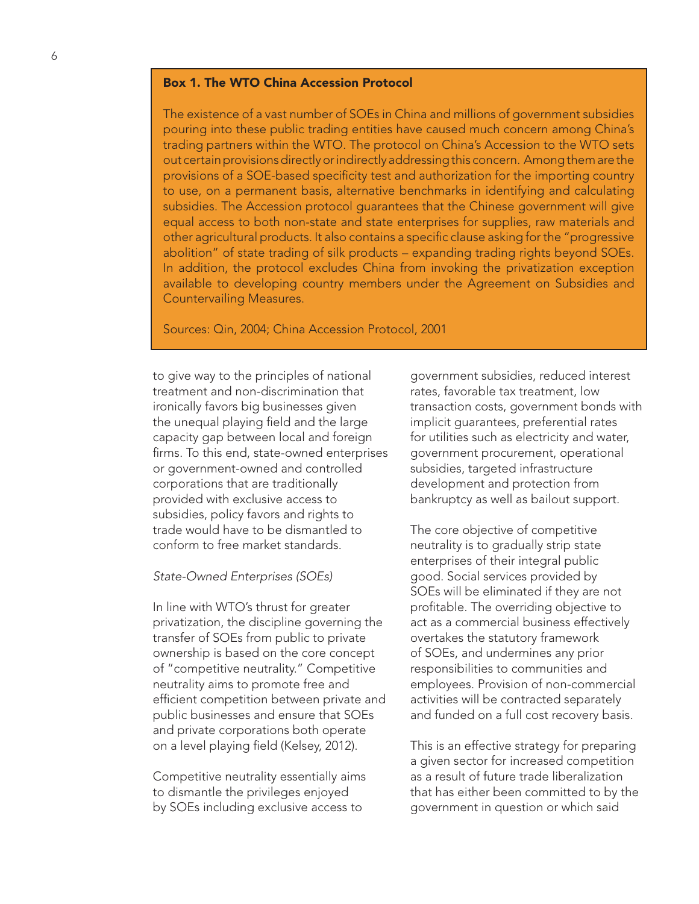## Box 1. The WTO China Accession Protocol

The existence of a vast number of SOEs in China and millions of government subsidies pouring into these public trading entities have caused much concern among China's trading partners within the WTO. The protocol on China's Accession to the WTO sets out certain provisions directly or indirectly addressing this concern. Among them are the provisions of a SOE-based specificity test and authorization for the importing country to use, on a permanent basis, alternative benchmarks in identifying and calculating subsidies. The Accession protocol guarantees that the Chinese government will give equal access to both non-state and state enterprises for supplies, raw materials and other agricultural products. It also contains a specific clause asking for the "progressive abolition" of state trading of silk products – expanding trading rights beyond SOEs. In addition, the protocol excludes China from invoking the privatization exception available to developing country members under the Agreement on Subsidies and Countervailing Measures.

## Sources: Qin, 2004; China Accession Protocol, 2001

to give way to the principles of national treatment and non-discrimination that ironically favors big businesses given the unequal playing field and the large capacity gap between local and foreign firms. To this end, state-owned enterprises or government-owned and controlled corporations that are traditionally provided with exclusive access to subsidies, policy favors and rights to trade would have to be dismantled to conform to free market standards.

#### *State-Owned Enterprises (SOEs)*

In line with WTO's thrust for greater privatization, the discipline governing the transfer of SOEs from public to private ownership is based on the core concept of "competitive neutrality." Competitive neutrality aims to promote free and efficient competition between private and public businesses and ensure that SOEs and private corporations both operate on a level playing field (Kelsey, 2012).

Competitive neutrality essentially aims to dismantle the privileges enjoyed by SOEs including exclusive access to

government subsidies, reduced interest rates, favorable tax treatment, low transaction costs, government bonds with implicit guarantees, preferential rates for utilities such as electricity and water, government procurement, operational subsidies, targeted infrastructure development and protection from bankruptcy as well as bailout support.

The core objective of competitive neutrality is to gradually strip state enterprises of their integral public good. Social services provided by SOEs will be eliminated if they are not profitable. The overriding objective to act as a commercial business effectively overtakes the statutory framework of SOEs, and undermines any prior responsibilities to communities and employees. Provision of non-commercial activities will be contracted separately and funded on a full cost recovery basis.

This is an effective strategy for preparing a given sector for increased competition as a result of future trade liberalization that has either been committed to by the government in question or which said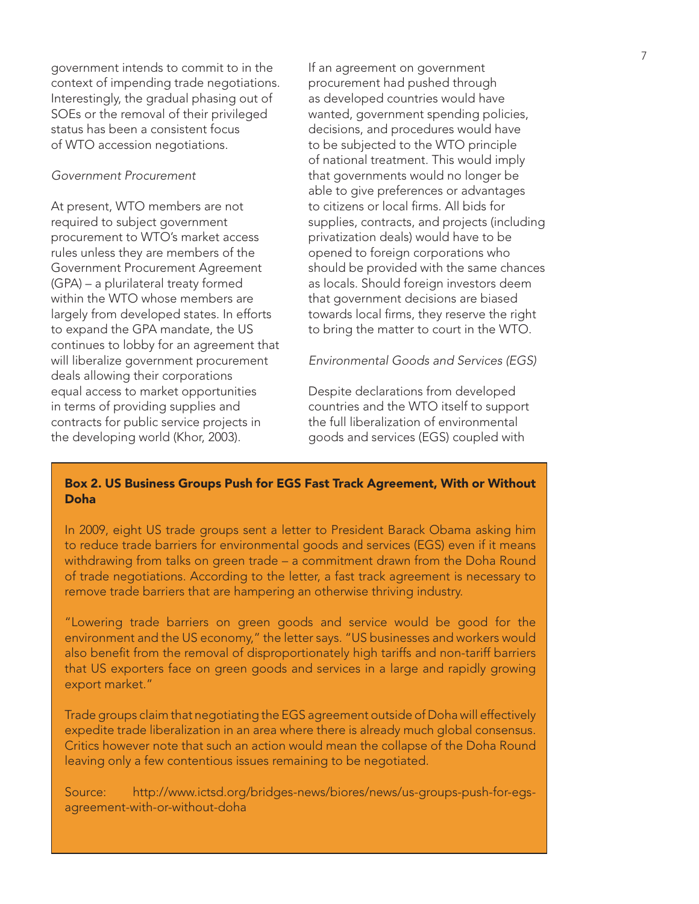government intends to commit to in the context of impending trade negotiations. Interestingly, the gradual phasing out of SOEs or the removal of their privileged status has been a consistent focus of WTO accession negotiations.

## *Government Procurement*

At present, WTO members are not required to subject government procurement to WTO's market access rules unless they are members of the Government Procurement Agreement (GPA) – a plurilateral treaty formed within the WTO whose members are largely from developed states. In efforts to expand the GPA mandate, the US continues to lobby for an agreement that will liberalize government procurement deals allowing their corporations equal access to market opportunities in terms of providing supplies and contracts for public service projects in the developing world (Khor, 2003).

If an agreement on government procurement had pushed through as developed countries would have wanted, government spending policies, decisions, and procedures would have to be subjected to the WTO principle of national treatment. This would imply that governments would no longer be able to give preferences or advantages to citizens or local firms. All bids for supplies, contracts, and projects (including privatization deals) would have to be opened to foreign corporations who should be provided with the same chances as locals. Should foreign investors deem that government decisions are biased towards local firms, they reserve the right to bring the matter to court in the WTO.

*Environmental Goods and Services (EGS)*

Despite declarations from developed countries and the WTO itself to support the full liberalization of environmental goods and services (EGS) coupled with

## Box 2. US Business Groups Push for EGS Fast Track Agreement, With or Without Doha

In 2009, eight US trade groups sent a letter to President Barack Obama asking him to reduce trade barriers for environmental goods and services (EGS) even if it means withdrawing from talks on green trade – a commitment drawn from the Doha Round of trade negotiations. According to the letter, a fast track agreement is necessary to remove trade barriers that are hampering an otherwise thriving industry.

"Lowering trade barriers on green goods and service would be good for the environment and the US economy," the letter says. "US businesses and workers would also benefit from the removal of disproportionately high tariffs and non-tariff barriers that US exporters face on green goods and services in a large and rapidly growing export market."

Trade groups claim that negotiating the EGS agreement outside of Doha will effectively expedite trade liberalization in an area where there is already much global consensus. Critics however note that such an action would mean the collapse of the Doha Round leaving only a few contentious issues remaining to be negotiated.

Source: http://www.ictsd.org/bridges-news/biores/news/us-groups-push-for-egsagreement-with-or-without-doha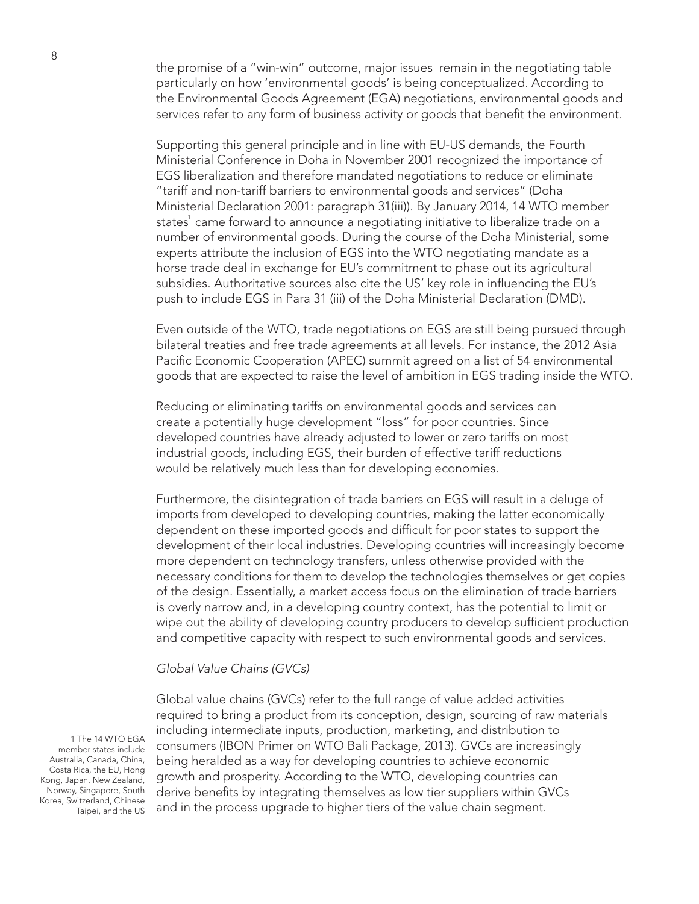the promise of a "win-win" outcome, major issues remain in the negotiating table particularly on how 'environmental goods' is being conceptualized. According to the Environmental Goods Agreement (EGA) negotiations, environmental goods and services refer to any form of business activity or goods that benefit the environment.

Supporting this general principle and in line with EU-US demands, the Fourth Ministerial Conference in Doha in November 2001 recognized the importance of EGS liberalization and therefore mandated negotiations to reduce or eliminate "tariff and non-tariff barriers to environmental goods and services" (Doha Ministerial Declaration 2001: paragraph 31(iii)). By January 2014, 14 WTO member states $^{\rm !}$  came forward to announce a negotiating initiative to liberalize trade on a number of environmental goods. During the course of the Doha Ministerial, some experts attribute the inclusion of EGS into the WTO negotiating mandate as a horse trade deal in exchange for EU's commitment to phase out its agricultural subsidies. Authoritative sources also cite the US' key role in influencing the EU's push to include EGS in Para 31 (iii) of the Doha Ministerial Declaration (DMD).

Even outside of the WTO, trade negotiations on EGS are still being pursued through bilateral treaties and free trade agreements at all levels. For instance, the 2012 Asia Pacific Economic Cooperation (APEC) summit agreed on a list of 54 environmental goods that are expected to raise the level of ambition in EGS trading inside the WTO.

Reducing or eliminating tariffs on environmental goods and services can create a potentially huge development "loss" for poor countries. Since developed countries have already adjusted to lower or zero tariffs on most industrial goods, including EGS, their burden of effective tariff reductions would be relatively much less than for developing economies.

Furthermore, the disintegration of trade barriers on EGS will result in a deluge of imports from developed to developing countries, making the latter economically dependent on these imported goods and difficult for poor states to support the development of their local industries. Developing countries will increasingly become more dependent on technology transfers, unless otherwise provided with the necessary conditions for them to develop the technologies themselves or get copies of the design. Essentially, a market access focus on the elimination of trade barriers is overly narrow and, in a developing country context, has the potential to limit or wipe out the ability of developing country producers to develop sufficient production and competitive capacity with respect to such environmental goods and services.

#### *Global Value Chains (GVCs)*

Global value chains (GVCs) refer to the full range of value added activities required to bring a product from its conception, design, sourcing of raw materials including intermediate inputs, production, marketing, and distribution to consumers (IBON Primer on WTO Bali Package, 2013). GVCs are increasingly being heralded as a way for developing countries to achieve economic growth and prosperity. According to the WTO, developing countries can derive benefits by integrating themselves as low tier suppliers within GVCs and in the process upgrade to higher tiers of the value chain segment.

1 The 14 WTO EGA member states include Australia, Canada, China, Costa Rica, the EU, Hong Kong, Japan, New Zealand, Norway, Singapore, South Korea, Switzerland, Chinese Taipei, and the US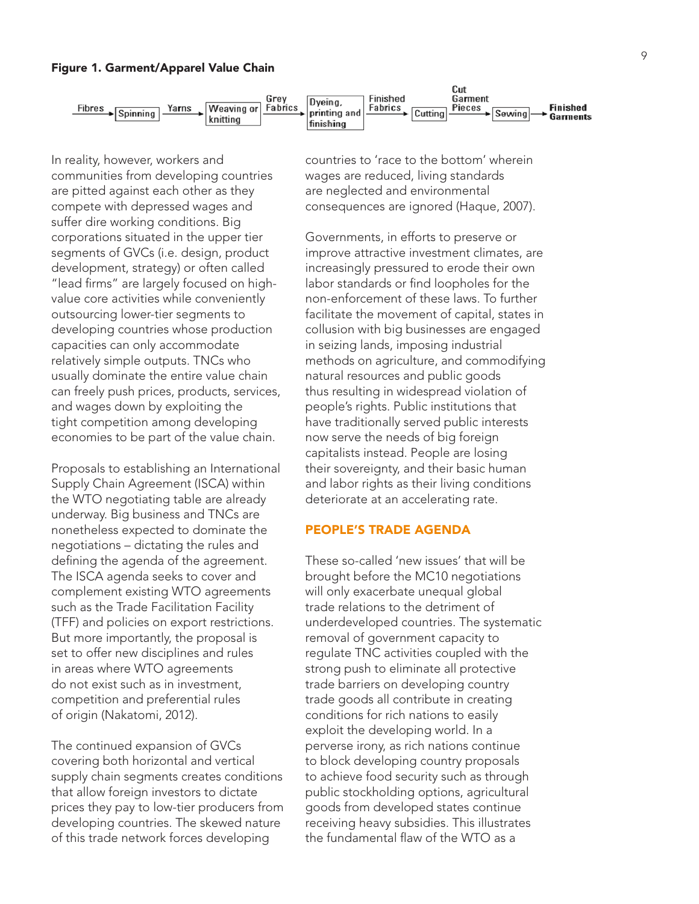



In reality, however, workers and communities from developing countries are pitted against each other as they compete with depressed wages and suffer dire working conditions. Big corporations situated in the upper tier segments of GVCs (i.e. design, product development, strategy) or often called "lead firms" are largely focused on highvalue core activities while conveniently outsourcing lower-tier segments to developing countries whose production capacities can only accommodate relatively simple outputs. TNCs who usually dominate the entire value chain can freely push prices, products, services, and wages down by exploiting the tight competition among developing economies to be part of the value chain.

Proposals to establishing an International Supply Chain Agreement (ISCA) within the WTO negotiating table are already underway. Big business and TNCs are nonetheless expected to dominate the negotiations – dictating the rules and defining the agenda of the agreement. The ISCA agenda seeks to cover and complement existing WTO agreements such as the Trade Facilitation Facility (TFF) and policies on export restrictions. But more importantly, the proposal is set to offer new disciplines and rules in areas where WTO agreements do not exist such as in investment, competition and preferential rules of origin (Nakatomi, 2012).

The continued expansion of GVCs covering both horizontal and vertical supply chain segments creates conditions that allow foreign investors to dictate prices they pay to low-tier producers from developing countries. The skewed nature of this trade network forces developing

countries to 'race to the bottom' wherein wages are reduced, living standards are neglected and environmental consequences are ignored (Haque, 2007).

Governments, in efforts to preserve or improve attractive investment climates, are increasingly pressured to erode their own labor standards or find loopholes for the non-enforcement of these laws. To further facilitate the movement of capital, states in collusion with big businesses are engaged in seizing lands, imposing industrial methods on agriculture, and commodifying natural resources and public goods thus resulting in widespread violation of people's rights. Public institutions that have traditionally served public interests now serve the needs of big foreign capitalists instead. People are losing their sovereignty, and their basic human and labor rights as their living conditions deteriorate at an accelerating rate.

## PEOPLE'S TRADE AGENDA

These so-called 'new issues' that will be brought before the MC10 negotiations will only exacerbate unequal global trade relations to the detriment of underdeveloped countries. The systematic removal of government capacity to regulate TNC activities coupled with the strong push to eliminate all protective trade barriers on developing country trade goods all contribute in creating conditions for rich nations to easily exploit the developing world. In a perverse irony, as rich nations continue to block developing country proposals to achieve food security such as through public stockholding options, agricultural goods from developed states continue receiving heavy subsidies. This illustrates the fundamental flaw of the WTO as a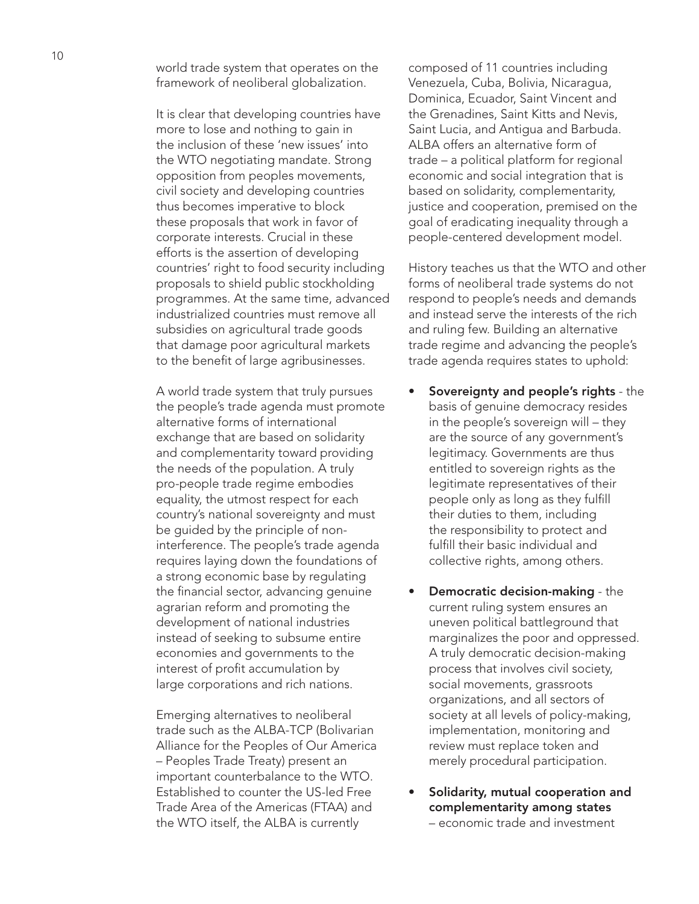world trade system that operates on the framework of neoliberal globalization.

It is clear that developing countries have more to lose and nothing to gain in the inclusion of these 'new issues' into the WTO negotiating mandate. Strong opposition from peoples movements, civil society and developing countries thus becomes imperative to block these proposals that work in favor of corporate interests. Crucial in these efforts is the assertion of developing countries' right to food security including proposals to shield public stockholding programmes. At the same time, advanced industrialized countries must remove all subsidies on agricultural trade goods that damage poor agricultural markets to the benefit of large agribusinesses.

A world trade system that truly pursues the people's trade agenda must promote alternative forms of international exchange that are based on solidarity and complementarity toward providing the needs of the population. A truly pro-people trade regime embodies equality, the utmost respect for each country's national sovereignty and must be guided by the principle of noninterference. The people's trade agenda requires laying down the foundations of a strong economic base by regulating the financial sector, advancing genuine agrarian reform and promoting the development of national industries instead of seeking to subsume entire economies and governments to the interest of profit accumulation by large corporations and rich nations.

Emerging alternatives to neoliberal trade such as the ALBA-TCP (Bolivarian Alliance for the Peoples of Our America – Peoples Trade Treaty) present an important counterbalance to the WTO. Established to counter the US-led Free Trade Area of the Americas (FTAA) and the WTO itself, the ALBA is currently

composed of 11 countries including Venezuela, Cuba, Bolivia, Nicaragua, Dominica, Ecuador, Saint Vincent and the Grenadines, Saint Kitts and Nevis, Saint Lucia, and Antigua and Barbuda. ALBA offers an alternative form of trade – a political platform for regional economic and social integration that is based on solidarity, complementarity, justice and cooperation, premised on the goal of eradicating inequality through a people-centered development model.

History teaches us that the WTO and other forms of neoliberal trade systems do not respond to people's needs and demands and instead serve the interests of the rich and ruling few. Building an alternative trade regime and advancing the people's trade agenda requires states to uphold:

- Sovereignty and people's rights the basis of genuine democracy resides in the people's sovereign will – they are the source of any government's legitimacy. Governments are thus entitled to sovereign rights as the legitimate representatives of their people only as long as they fulfill their duties to them, including the responsibility to protect and fulfill their basic individual and collective rights, among others.
- **Democratic decision-making the** current ruling system ensures an uneven political battleground that marginalizes the poor and oppressed. A truly democratic decision-making process that involves civil society, social movements, grassroots organizations, and all sectors of society at all levels of policy-making, implementation, monitoring and review must replace token and merely procedural participation.
- Solidarity, mutual cooperation and complementarity among states – economic trade and investment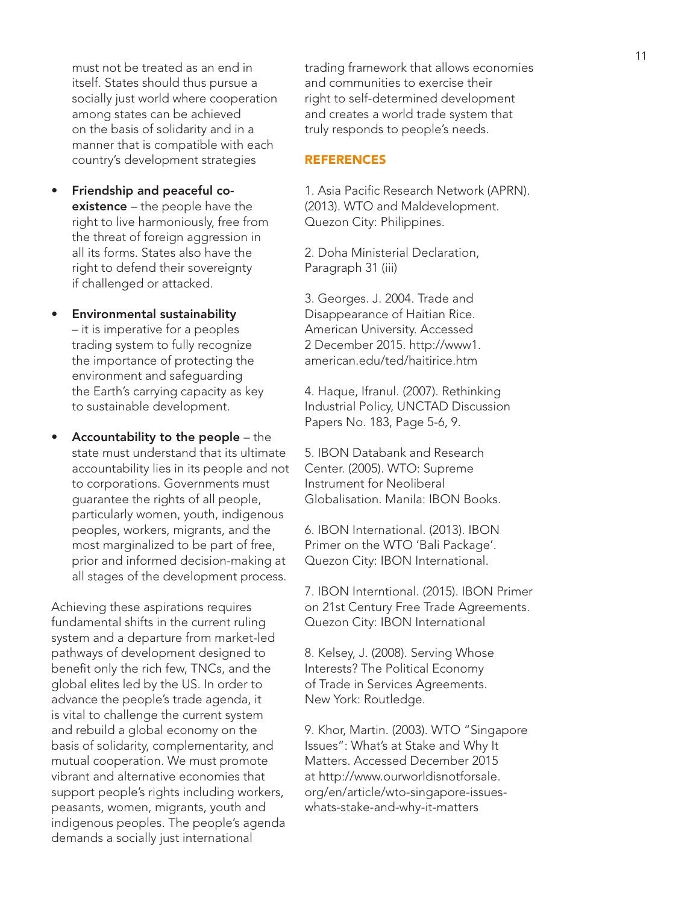must not be treated as an end in itself. States should thus pursue a socially just world where cooperation among states can be achieved on the basis of solidarity and in a manner that is compatible with each country's development strategies

- Friendship and peaceful coexistence – the people have the right to live harmoniously, free from the threat of foreign aggression in all its forms. States also have the right to defend their sovereignty if challenged or attacked.
- Environmental sustainability – it is imperative for a peoples trading system to fully recognize the importance of protecting the environment and safeguarding the Earth's carrying capacity as key to sustainable development.
- Accountability to the people the state must understand that its ultimate accountability lies in its people and not to corporations. Governments must guarantee the rights of all people, particularly women, youth, indigenous peoples, workers, migrants, and the most marginalized to be part of free, prior and informed decision-making at all stages of the development process.

Achieving these aspirations requires fundamental shifts in the current ruling system and a departure from market-led pathways of development designed to benefit only the rich few, TNCs, and the global elites led by the US. In order to advance the people's trade agenda, it is vital to challenge the current system and rebuild a global economy on the basis of solidarity, complementarity, and mutual cooperation. We must promote vibrant and alternative economies that support people's rights including workers, peasants, women, migrants, youth and indigenous peoples. The people's agenda demands a socially just international

trading framework that allows economies and communities to exercise their right to self-determined development and creates a world trade system that truly responds to people's needs.

## REFERENCES

1. Asia Pacific Research Network (APRN). (2013). WTO and Maldevelopment. Quezon City: Philippines.

2. Doha Ministerial Declaration, Paragraph 31 (iii)

3. Georges. J. 2004. Trade and Disappearance of Haitian Rice. American University. Accessed 2 December 2015. http://www1. american.edu/ted/haitirice.htm

4. Haque, Ifranul. (2007). Rethinking Industrial Policy, UNCTAD Discussion Papers No. 183, Page 5-6, 9.

5. IBON Databank and Research Center. (2005). WTO: Supreme Instrument for Neoliberal Globalisation. Manila: IBON Books.

6. IBON International. (2013). IBON Primer on the WTO 'Bali Package'. Quezon City: IBON International.

7. IBON Interntional. (2015). IBON Primer on 21st Century Free Trade Agreements. Quezon City: IBON International

8. Kelsey, J. (2008). Serving Whose Interests? The Political Economy of Trade in Services Agreements. New York: Routledge.

9. Khor, Martin. (2003). WTO "Singapore Issues": What's at Stake and Why It Matters. Accessed December 2015 at http://www.ourworldisnotforsale. org/en/article/wto-singapore-issueswhats-stake-and-why-it-matters